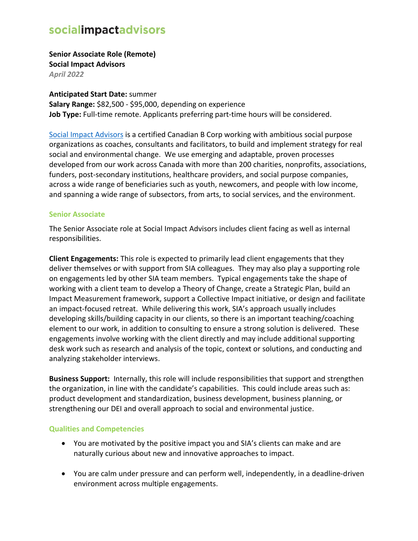**Senior Associate Role (Remote) Social Impact Advisors**

*April 2022*

**Anticipated Start Date:** summer

**Salary Range:** \$82,500 - \$95,000, depending on experience **Job Type:** Full-time remote. Applicants preferring part-time hours will be considered.

[Social Impact Advisors](https://socialimpactadvisors.ca/) is a certified Canadian B Corp working with ambitious social purpose organizations as coaches, consultants and facilitators, to build and implement strategy for real social and environmental change. We use emerging and adaptable, proven processes developed from our work across Canada with more than 200 charities, nonprofits, associations, funders, post-secondary institutions, healthcare providers, and social purpose companies, across a wide range of beneficiaries such as youth, newcomers, and people with low income, and spanning a wide range of subsectors, from arts, to social services, and the environment.

#### **Senior Associate**

The Senior Associate role at Social Impact Advisors includes client facing as well as internal responsibilities.

**Client Engagements:** This role is expected to primarily lead client engagements that they deliver themselves or with support from SIA colleagues. They may also play a supporting role on engagements led by other SIA team members. Typical engagements take the shape of working with a client team to develop a Theory of Change, create a Strategic Plan, build an Impact Measurement framework, support a Collective Impact initiative, or design and facilitate an impact-focused retreat. While delivering this work, SIA's approach usually includes developing skills/building capacity in our clients, so there is an important teaching/coaching element to our work, in addition to consulting to ensure a strong solution is delivered. These engagements involve working with the client directly and may include additional supporting desk work such as research and analysis of the topic, context or solutions, and conducting and analyzing stakeholder interviews.

**Business Support:** Internally, this role will include responsibilities that support and strengthen the organization, in line with the candidate's capabilities. This could include areas such as: product development and standardization, business development, business planning, or strengthening our DEI and overall approach to social and environmental justice.

#### **Qualities and Competencies**

- You are motivated by the positive impact you and SIA's clients can make and are naturally curious about new and innovative approaches to impact.
- You are calm under pressure and can perform well, independently, in a deadline-driven environment across multiple engagements.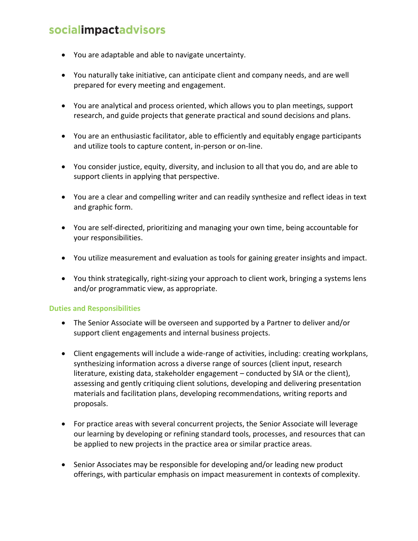- You are adaptable and able to navigate uncertainty.
- You naturally take initiative, can anticipate client and company needs, and are well prepared for every meeting and engagement.
- You are analytical and process oriented, which allows you to plan meetings, support research, and guide projects that generate practical and sound decisions and plans.
- You are an enthusiastic facilitator, able to efficiently and equitably engage participants and utilize tools to capture content, in-person or on-line.
- You consider justice, equity, diversity, and inclusion to all that you do, and are able to support clients in applying that perspective.
- You are a clear and compelling writer and can readily synthesize and reflect ideas in text and graphic form.
- You are self-directed, prioritizing and managing your own time, being accountable for your responsibilities.
- You utilize measurement and evaluation as tools for gaining greater insights and impact.
- You think strategically, right-sizing your approach to client work, bringing a systems lens and/or programmatic view, as appropriate.

#### **Duties and Responsibilities**

- The Senior Associate will be overseen and supported by a Partner to deliver and/or support client engagements and internal business projects.
- Client engagements will include a wide-range of activities, including: creating workplans, synthesizing information across a diverse range of sources (client input, research literature, existing data, stakeholder engagement – conducted by SIA or the client), assessing and gently critiquing client solutions, developing and delivering presentation materials and facilitation plans, developing recommendations, writing reports and proposals.
- For practice areas with several concurrent projects, the Senior Associate will leverage our learning by developing or refining standard tools, processes, and resources that can be applied to new projects in the practice area or similar practice areas.
- Senior Associates may be responsible for developing and/or leading new product offerings, with particular emphasis on impact measurement in contexts of complexity.